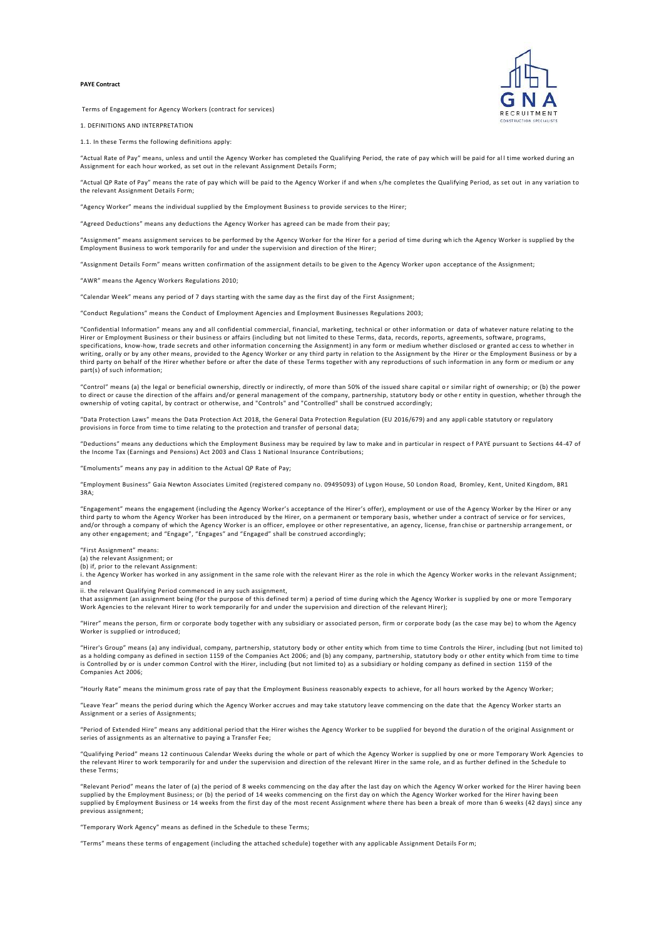## **PAYE Contract**



Terms of Engagement for Agency Workers (contract for services)

1. DEFINITIONS AND INTERPRETATION

1.1. In these Terms the following definitions apply:

"Actual Rate of Pay" means, unless and until the Agency Worker has completed the Qualifying Period, the rate of pay which will be paid for al l time worked during an Assignment for each hour worked, as set out in the relevant Assignment Details Form;

"Actual QP Rate of Pay" means the rate of pay which will be paid to the Agency Worker if and when s/he completes the Qualifying Period, as set out in any variation to the relevant Assignment Details Form;

"Agency Worker" means the individual supplied by the Employment Business to provide services to the Hirer;

"Agreed Deductions" means any deductions the Agency Worker has agreed can be made from their pay;

"Assignment" means assignment services to be performed by the Agency Worker for the Hirer for a period of time during wh ich the Agency Worker is supplied by the Employment Business to work temporarily for and under the supervision and direction of the Hirer;

"Assignment Details Form" means written confirmation of the assignment details to be given to the Agency Worker upon acceptance of the Assignment;

"AWR" means the Agency Workers Regulations 2010;

"Calendar Week" means any period of 7 days starting with the same day as the first day of the First Assignment;

"Conduct Regulations" means the Conduct of Employment Agencies and Employment Businesses Regulations 2003;

"Confidential Information" means any and all confidential commercial, financial, marketing, technical or other information or data of whatever nature relating to the Hirer or Employment Business or their business or affairs (including but not limited to these Terms, data, records, reports, agreements, software, programs, specifications, know-how, trade secrets and other information concerning the Assignment) in any form or medium whether disclosed or granted ac cess to whether in writing, orally or by any other means, provided to the Agency Worker or any third party in relation to the Assignment by the Hirer or the Employment Business or by a third party on behalf of the Hirer whether before or after the date of these Terms together with any reproductions of such information in any form or medium or any part(s) of such information;

"Control" means (a) the legal or beneficial ownership, directly or indirectly, of more than 50% of the issued share capital or similar right of ownership; or (b) the power<br>to direct or cause the direction of the affairs an ownership of voting capital, by contract or otherwise, and "Controls" and "Controlled" shall be construed accordingly;

"Data Protection Laws" means the Data Protection Act 2018, the General Data Protection Regulation (EU 2016/679) and any appli cable statutory or regulatory provisions in force from time to time relating to the protection and transfer of personal data;

"Deductions" means any deductions which the Employment Business may be required by law to make and in particular in respect o f PAYE pursuant to Sections 44-47 of the Income Tax (Earnings and Pensions) Act 2003 and Class 1 National Insurance Contributions;

"Emoluments" means any pay in addition to the Actual QP Rate of Pay;

"Employment Business" Gaia Newton Associates Limited (registered company no. 09495093) of Lygon House, 50 London Road, Bromley, Kent, United Kingdom, BR1 3RA;

"Engagement" means the engagement (including the Agency Worker's acceptance of the Hirer's offer), employment or use of the A gency Worker by the Hirer or any third party to whom the Agency Worker has been introduced by the Hirer, on a permanent or temporary basis, whether under a contract of service or for services, and/or through a company of which the Agency Worker is an officer, employee or other representative, an agency, license, fran chise or partnership arrangement, or any other engagement; and "Engage", "Engages" and "Engaged" shall be construed accordingly;

"First Assignment" means:

(a) the relevant Assignment; or

(b) if, prior to the relevant Assignment:

i. the Agency Worker has worked in any assignment in the same role with the relevant Hirer as the role in which the Agency Worker works in the relevant Assignment; and

ii. the relevant Qualifying Period commenced in any such assignment,

that assignment (an assignment being (for the purpose of this defined term) a period of time during which the Agency Worker is supplied by one or more Temporary<br>Work Agencies to the relevant Hirer to work temporarily for a

"Hirer" means the person, firm or corporate body together with any subsidiary or associated person, firm or corporate body (as the case may be) to whom the Agency Worker is supplied or introduced;

"Hirer's Group" means (a) any individual, company, partnership, statutory body or other entity which from time to time Controls the Hirer, including (but not limited to) as a holding company as defined in section 1159 of the Companies Act 2006; and (b) any company, partnership, statutory body o r other entity which from time to time is Controlled by or is under common Control with the Hirer, including (but not limited to) as a subsidiary or holding company as defined in section 1159 of the Companies Act 2006;

"Hourly Rate" means the minimum gross rate of pay that the Employment Business reasonably expects to achieve, for all hours worked by the Agency Worker;

"Leave Year" means the period during which the Agency Worker accrues and may take statutory leave commencing on the date that the Agency Worker starts an Assignment or a series of Assignments;

"Period of Extended Hire" means any additional period that the Hirer wishes the Agency Worker to be supplied for beyond the duratio n of the original Assignment or series of assignments as an alternative to paying a Transfer Fee;

"Qualifying Period" means 12 continuous Calendar Weeks during the whole or part of which the Agency Worker is supplied by one or more Temporary Work Agencies to the relevant Hirer to work temporarily for and under the supervision and direction of the relevant Hirer in the same role, an d as further defined in the Schedule to these Terms;

"Relevant Period" means the later of (a) the period of 8 weeks commencing on the day after the last day on which the Agency Worker worked for the Hirer having been<br>supplied by the Employment Business; or (b) the period of supplied by Employment Business or 14 weeks from the first day of the most recent Assignment where there has been a break of more than 6 weeks (42 days) since any previous assignment;

"Temporary Work Agency" means as defined in the Schedule to these Terms;

"Terms" means these terms of engagement (including the attached schedule) together with any applicable Assignment Details For m;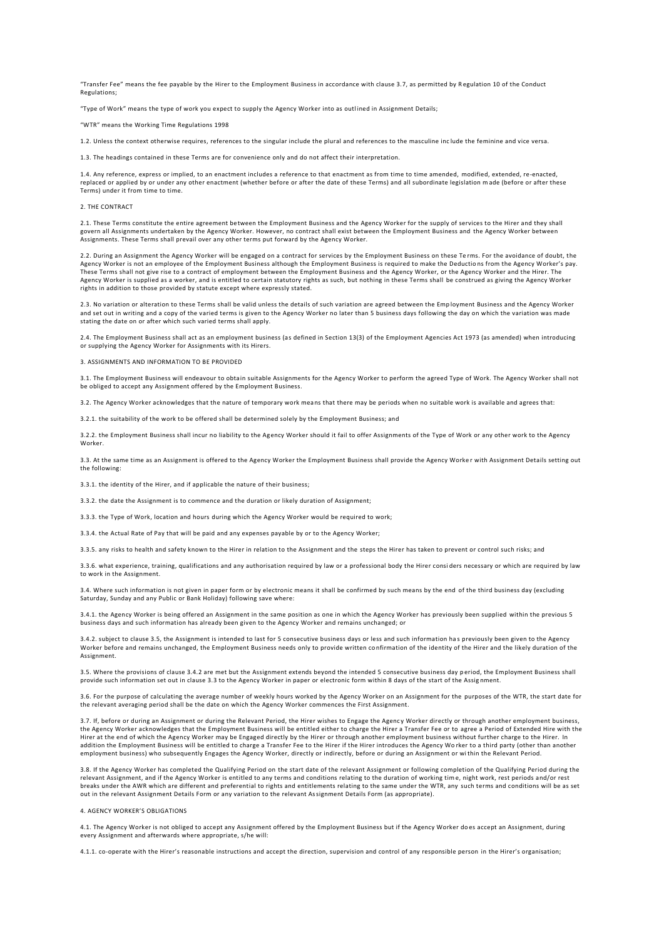"Transfer Fee" means the fee payable by the Hirer to the Employment Business in accordance with clause 3.7, as permitted by R egulation 10 of the Conduct Regulations;

"Type of Work" means the type of work you expect to supply the Agency Worker into as outlined in Assignment Details;

"WTR" means the Working Time Regulations 1998

1.2. Unless the context otherwise requires, references to the singular include the plural and references to the masculine inc lude the feminine and vice versa.

1.3. The headings contained in these Terms are for convenience only and do not affect their interpretation.

1.4. Any reference, express or implied, to an enactment includes a reference to that enactment as from time to time amended, modified, extended, re-enacted, replaced or applied by or under any other enactment (whether before or after the date of these Terms) and all subordinate legislation made (before or after these Terms) under it from time to time.

# 2. THE CONTRACT

2.1. These Terms constitute the entire agreement between the Employment Business and the Agency Worker for the supply of services to the Hirer and they shall govern all Assignments undertaken by the Agency Worker. However, no contract shall exist between the Employment Business and the Agency Worker between Assignments. These Terms shall prevail over any other terms put forward by the Agency Worker.

2.2. During an Assignment the Agency Worker will be engaged on a contract for services by the Employment Business on these Te rms. For the avoidance of doubt, the Agency Worker is not an employee of the Employment Business although the Employment Business is required to make the Deductio ns from the Agency Worker's pay. These Terms shall not give rise to a contract of employment between the Employment Business and the Agency Worker, or the Agency Worker and the Hirer. The Agency Worker is supplied as a worker, and is entitled to certain statutory rights as such, but nothing in these Terms shall be construed as giving the Agency Worker rights in addition to those provided by statute except where expressly stated.

2.3. No variation or alteration to these Terms shall be valid unless the details of such variation are agreed between the Employment Business and the Agency Worker<br>and set out in writing and a copy of the varied terms is g stating the date on or after which such varied terms shall apply.

2.4. The Employment Business shall act as an employment business (as defined in Section 13(3) of the Employment Agencies Act 1973 (as amended) when introducing or supplying the Agency Worker for Assignments with its Hirers.

# 3. ASSIGNMENTS AND INFORMATION TO BE PROVIDED

3.1. The Employment Business will endeavour to obtain suitable Assignments for the Agency Worker to perform the agreed Type of Work. The Agency Worker shall not be obliged to accept any Assignment offered by the Employment Business.

3.2. The Agency Worker acknowledges that the nature of temporary work means that there may be periods when no suitable work is available and agrees that:

3.2.1. the suitability of the work to be offered shall be determined solely by the Employment Business; and

3.2.2. the Employment Business shall incur no liability to the Agency Worker should it fail to offer Assignments of the Type of Work or any other work to the Agency Worker.

3.3. At the same time as an Assignment is offered to the Agency Worker the Employment Business shall provide the Agency Worke r with Assignment Details setting out the following:

3.3.1. the identity of the Hirer, and if applicable the nature of their business;

3.3.2. the date the Assignment is to commence and the duration or likely duration of Assignment;

3.3.3. the Type of Work, location and hours during which the Agency Worker would be required to work;

3.3.4. the Actual Rate of Pay that will be paid and any expenses payable by or to the Agency Worker;

3.3.5. any risks to health and safety known to the Hirer in relation to the Assignment and the steps the Hirer has taken to prevent or control such risks; and

3.3.6. what experience, training, qualifications and any authorisation required by law or a professional body the Hirer considers necessary or which are required by law to work in the Assignment.

3.4. Where such information is not given in paper form or by electronic means it shall be confirmed by such means by the end of the third business day (excluding Saturday, Sunday and any Public or Bank Holiday) following save where:

3.4.1. the Agency Worker is being offered an Assignment in the same position as one in which the Agency Worker has previously been supplied within the previous 5 business days and such information has already been given to the Agency Worker and remains unchanged; or

3.4.2. subject to clause 3.5, the Assignment is intended to last for 5 consecutive business days or less and such information ha s previously been given to the Agency Worker before and remains unchanged, the Employment Business needs only to provide written co nfirmation of the identity of the Hirer and the likely duration of the Assignment.

3.5. Where the provisions of clause 3.4.2 are met but the Assignment extends beyond the intended 5 consecutive business day p eriod, the Employment Business shall provide such information set out in clause 3.3 to the Agency Worker in paper or electronic form within 8 days of the start of the Assig nment.

3.6. For the purpose of calculating the average number of weekly hours worked by the Agency Worker on an Assignment for the purposes of the WTR, the start date for the relevant averaging period shall be the date on which the Agency Worker commences the First Assignment.

3.7. If, before or during an Assignment or during the Relevant Period, the Hirer wishes to Engage the Agency Worker directly or through another employment business, the Agency Worker acknowledges that the Employment Business will be entitled either to charge the Hirer a Transfer Fee or to agree a Period of Extended Hire with the Hirer at the end of which the Agency Worker may be Engaged directly by the Hirer or through another employment business without further charge to the Hirer. In addition the Employment Business will be entitled to charge a Transfer Fee to the Hirer if the Hirer introduces the Agency Wo rker to a third party (other than another employment business) who subsequently Engages the Agency Worker, directly or indirectly, before or during an Assignment or wi thin the Relevant Period.

3.8. If the Agency Worker has completed the Qualifying Period on the start date of the relevant Assignment or following completion of the Qualifying Period during the relevant Assignment, and if the Agency Worker is entitled to any terms and conditions relating to the duration of working tim e, night work, rest periods and/or rest breaks under the AWR which are different and preferential to rights and entitlements relating to the same under the WTR, any such terms and conditions will be as set out in the relevant Assignment Details Form or any variation to the relevant Assignment Details Form (as appropriate).

# 4. AGENCY WORKER'S OBLIGATIONS

4.1. The Agency Worker is not obliged to accept any Assignment offered by the Employment Business but if the Agency Worker do es accept an Assignment, during every Assignment and afterwards where appropriate, s/he will:

4.1.1. co-operate with the Hirer's reasonable instructions and accept the direction, supervision and control of any responsible person in the Hirer's organisation;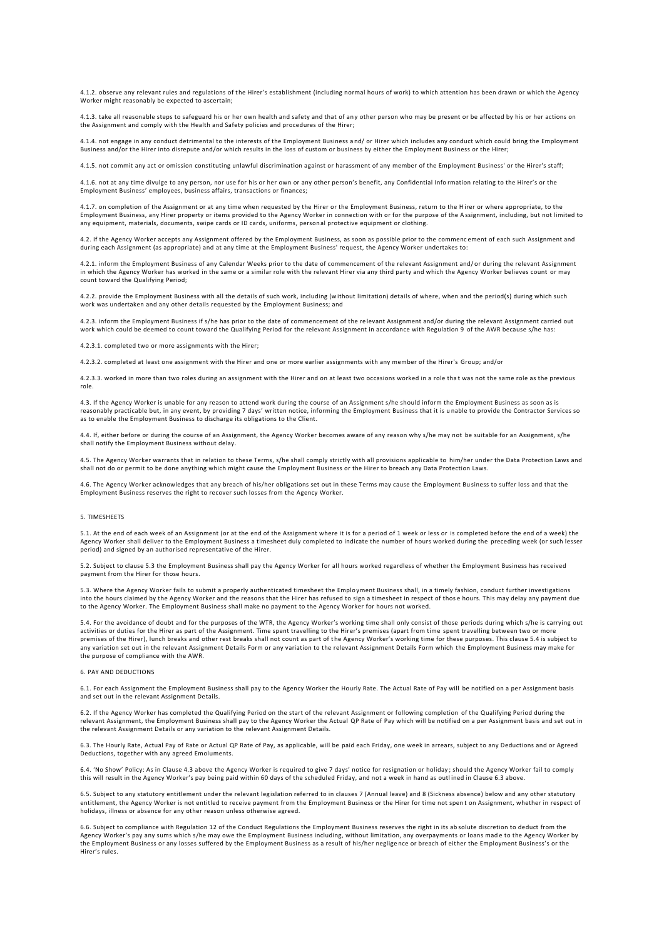4.1.2. observe any relevant rules and regulations of the Hirer's establishment (including normal hours of work) to which attention has been drawn or which the Agency Worker might reasonably be expected to ascertain;

4.1.3. take all reasonable steps to safeguard his or her own health and safety and that of an y other person who may be present or be affected by his or her actions on the Assignment and comply with the Health and Safety policies and procedures of the Hirer;

4.1.4. not engage in any conduct detrimental to the interests of the Employment Business a nd/ or Hirer which includes any conduct which could bring the Employment Business and/or the Hirer into disrepute and/or which results in the loss of custom or business by either the Employment Business or the Hirer;

4.1.5. not commit any act or omission constituting unlawful discrimination against or harassment of any member of the Employment Business' or the Hirer's staff;

4.1.6. not at any time divulge to any person, nor use for his or her own or any other person's benefit, any Confidential Info rmation relating to the Hirer's or the Employment Business' employees, business affairs, transactions or finances;

4.1.7. on completion of the Assignment or at any time when requested by the Hirer or the Employment Business, return to the H irer or where appropriate, to the Employment Business, any Hirer property or items provided to the Agency Worker in connection with or for the purpose of the A ssignment, including, but not limited to any equipment, materials, documents, swipe cards or ID cards, uniforms, personal protective equipment or clothing.

4.2. If the Agency Worker accepts any Assignment offered by the Employment Business, as soon as possible prior to the commenc ement of each such Assignment and during each Assignment (as appropriate) and at any time at the Employment Business' request, the Agency Worker undertakes to:

4.2.1. inform the Employment Business of any Calendar Weeks prior to the date of commencement of the relevant Assignment and/ or during the relevant Assignment in which the Agency Worker has worked in the same or a similar role with the relevant Hirer via any third party and which the Agency Worker believes count or may count toward the Qualifying Period;

4.2.2. provide the Employment Business with all the details of such work, including (without limitation) details of where, when and the period(s) during which such work was undertaken and any other details requested by the Employment Business; and

4.2.3. inform the Employment Business if s/he has prior to the date of commencement of the re levant Assignment and/or during the relevant Assignment carried out work which could be deemed to count toward the Qualifying Period for the relevant Assignment in accordance with Regulation 9 of the AWR because s/he has:

4.2.3.1. completed two or more assignments with the Hirer;

4.2.3.2. completed at least one assignment with the Hirer and one or more earlier assignments with any member of the Hirer's Group; and/or

4.2.3.3. worked in more than two roles during an assignment with the Hirer and on at least two occasions worked in a role tha t was not the same role as the previous role.

4.3. If the Agency Worker is unable for any reason to attend work during the course of an Assignment s/he should inform the Employment Business as soon as is reasonably practicable but, in any event, by providing 7 days' written notice, informing the Employment Business that it is u nable to provide the Contractor Services so as to enable the Employment Business to discharge its obligations to the Client.

4.4. If, either before or during the course of an Assignment, the Agency Worker becomes aware of any reason why s/he may not be suitable for an Assignment, s/he shall notify the Employment Business without delay.

4.5. The Agency Worker warrants that in relation to these Terms, s/he shall comply strictly with all provisions applicable to him/her under the Data Protection Laws and shall not do or permit to be done anything which might cause the Employment Business or the Hirer to breach any Data Protection Laws.

4.6. The Agency Worker acknowledges that any breach of his/her obligations set out in these Terms may cause the Employment Bu siness to suffer loss and that the Employment Business reserves the right to recover such losses from the Agency Worker.

#### 5. TIMESHEETS

5.1. At the end of each week of an Assignment (or at the end of the Assignment where it is for a period of 1 week or less or is completed before the end of a week) the Agency Worker shall deliver to the Employment Business a timesheet duly completed to indicate the number of hours worked during the preceding week (or such lesser period) and signed by an authorised representative of the Hirer.

5.2. Subject to clause 5.3 the Employment Business shall pay the Agency Worker for all hours worked regardless of whether the Employment Business has received payment from the Hirer for those hours.

5.3. Where the Agency Worker fails to submit a properly authenticated timesheet the Employment Business shall, in a timely fashion, conduct further investigations into the hours claimed by the Agency Worker and the reasons that the Hirer has refused to sign a timesheet in respect of those hours. This may delay any payment due to the Agency Worker. The Employment Business shall make no payment to the Agency Worker for hours not worked.

5.4. For the avoidance of doubt and for the purposes of the WTR, the Agency Worker's working time shall only consist of those periods during which s/he is carrying out activities or duties for the Hirer as part of the Assignment. Time spent travelling to the Hirer's premises (apart from time spent travelling between two or more premises of the Hirer), lunch breaks and other rest breaks shall not count as part of t he Agency Worker's working time for these purposes. This clause 5.4 is subject to any variation set out in the relevant Assignment Details Form or any variation to the relevant Assignment Details Form which the Employment Business may make for the purpose of compliance with the AWR.

#### 6. PAY AND DEDUCTIONS

6.1. For each Assignment the Employment Business shall pay to the Agency Worker the Hourly Rate. The Actual Rate of Pay will be notified on a per Assignment basis and set out in the relevant Assignment Details.

6.2. If the Agency Worker has completed the Qualifying Period on the start of the relevant Assignment or following completion of the Qualifying Period during the relevant Assignment, the Employment Business shall pay to the Agency Worker the Actual QP Rate of Pay which will be notified on a per Assignment basis and set out in the relevant Assignment Details or any variation to the relevant Assignment Details.

6.3. The Hourly Rate, Actual Pay of Rate or Actual QP Rate of Pay, as applicable, will be paid each Friday, one week in arrears, subject to any Deductions and or Agreed Deductions, together with any agreed Emoluments.

6.4. 'No Show' Policy: As in Clause 4.3 above the Agency Worker is required to give 7 days' notice for resignation or holiday ; should the Agency Worker fail to comply this will result in the Agency Worker's pay being paid within 60 days of the scheduled Friday, and not a week in hand as outl ined in Clause 6.3 above.

6.5. Subject to any statutory entitlement under the relevant legislation referred to in clauses 7 (Annual leave) and 8 (Sickness absence) below and any other statutory entitlement, the Agency Worker is not entitled to receive payment from the Employment Business or the Hirer for time not spen t on Assignment, whether in respect of holidays, illness or absence for any other reason unless otherwise agreed.

6.6. Subject to compliance with Regulation 12 of the Conduct Regulations the Employment Business reserves the right in its ab solute discretion to deduct from the Agency Worker's pay any sums which s/he may owe the Employment Business including, without limitation, any overpayments or loans mad e to the Agency Worker by the Employment Business or any losses suffered by the Employment Business as a result of his/her neglige nce or breach of either the Employment Business's or the Hirer's rules.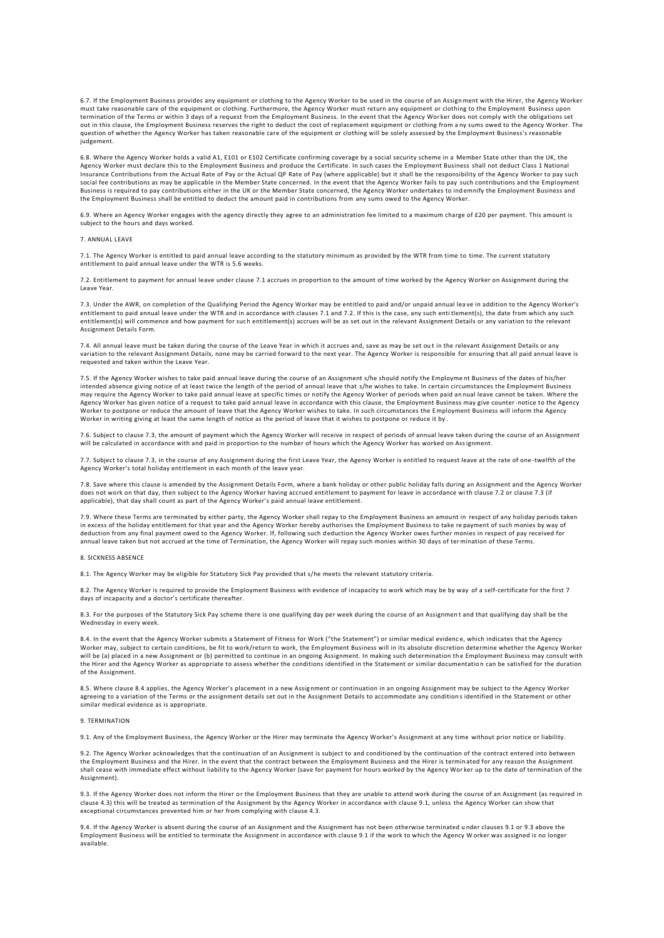6.7. If the Employment Business provides any equipment or clothing to the Agency Worker to be used in the course of an Assign ment with the Hirer, the Agency Worker must take reasonable care of the equipment or clothing. Furthermore, the Agency Worker must return any equipment or clothing to the Employment Business upon termination of the Terms or within 3 days of a request from the Employment Business. In the event that the Agency Wor ker does not comply with the obligations set out in this clause, the Employment Business reserves the right to deduct the cost of replacement equipment or clothing from a ny sums owed to the Agency Worker. The question of whether the Agency Worker has taken reasonable care of the equipment or clothing will be solely assessed by the Employment Business's reasonable judgement.

6.8. Where the Agency Worker holds a valid A1, E101 or E102 Certificate confirming coverage by a social security scheme in a Member State other than the UK, the<br>Agency Worker must declare this to the Employment Business an Insurance Contributions from the Actual Rate of Pay or the Actual QP Rate of Pay (where applicable) but it shall be the responsibility of the Agency Worker to pay such social fee contributions as may be applicable in the Member State concerned. In the event that the Agency Worker fails to pay such contributions and the Employment Business is required to pay contributions either in the UK or the Member State concerned, the Agency Worker undertakes to ind emnify the Employment Business and the Employment Business shall be entitled to deduct the amount paid in contributions from any sums owed to the Agency Worker.

6.9. Where an Agency Worker engages with the agency directly they agree to an administration fee limited to a maximum charge of £20 per payment. This amount is subject to the hours and days worked.

## 7. ANNUAL LEAVE

7.1. The Agency Worker is entitled to paid annual leave according to the statutory minimum as provided by the WTR from time to time. The current statutory entitlement to paid annual leave under the WTR is 5.6 weeks.

7.2. Entitlement to payment for annual leave under clause 7.1 accrues in proportion to the amount of time worked by the Agency Worker on Assignment during the Leave Year.

7.3. Under the AWR, on completion of the Qualifying Period the Agency Worker may be entitled to paid and/or unpaid annual leave in addition to the Agency Worker's<br>entitlement to paid annual leave under the WTR and in accor entitlement(s) will commence and how payment for such entitlement(s) accrues will be as set out in the relevant Assignment Details or any variation to the relevant Assignment Details Form.

7.4. All annual leave must be taken during the course of the Leave Year in which it accrues and, save as may be set ou t in the relevant Assignment Details or any variation to the relevant Assignment Details, none may be carried forward to the next year. The Agency Worker is responsible for ensuring that all paid annual leave is requested and taken within the Leave Year.

7.5. If the Agency Worker wishes to take paid annual leave during the course of an Assignment s/he should notify the Employme nt Business of the dates of his/her intended absence giving notice of at least twice the length of the period of annual leave that s/he wishes to take. In certain circumstances the Employment Business may require the Agency Worker to take paid annual leave at specific times or notify the Agency Worker of periods when paid an nual leave cannot be taken. Where the Agency Worker has given notice of a request to take paid annual leave in accordance with this clause, the Employment Business may give counter-notice to the Agency Worker to postpone or reduce the amount of leave that the Agency Worker wishes to take. In such circumstances the Employment Business will inform the Agency Worker in writing giving at least the same length of notice as the period of leave that it wishes to postpone or reduce it by .

7.6. Subject to clause 7.3, the amount of payment which the Agency Worker will receive in respect of periods of annual leave taken during the course of an Assignment will be calculated in accordance with and paid in proportion to the number of hours which the Agency Worker has worked on Assignment.

7.7. Subject to clause 7.3, in the course of any Assignment during the first Leave Year, the Agency Worker is entitled to request leave at the rate of one -twelfth of the Agency Worker's total holiday entitlement in each month of the leave year.

7.8. Save where this clause is amended by the Assignment Details Form, where a bank holiday or other public holiday falls during an Assignment and the Agency Worker does not work on that day, then subject to the Agency Worker having accrued entitlement to payment for leave in accordance with clause 7.2 or clause 7.3 (if applicable), that day shall count as part of the Agency Worker's paid annual leave entitlement.

7.9. Where these Terms are terminated by either party, the Agency Worker shall repay to the Employment Business an amount in respect of any holiday periods taken in excess of the holiday entitlement for that year and the Agency Worker hereby authorises the Employment Business to take re payment of such monies by way of deduction from any final payment owed to the Agency Worker. If, following such deduction the Agency Worker owes further monies in respect of pay received for<br>annual leave taken but not accrued at the time of Termination, t

## 8. SICKNESS ABSENCE

8.1. The Agency Worker may be eligible for Statutory Sick Pay provided that s/he meets the relevant statutory criteria.

8.2. The Agency Worker is required to provide the Employment Business with evidence of incapacity to work which may be by way of a self-certificate for the first 7 days of incapacity and a doctor's certificate thereafter.

8.3. For the purposes of the Statutory Sick Pay scheme there is one qualifying day per week during the course of an Assignment and that qualifying day shall be the Wednesday in every week.

8.4. In the event that the Agency Worker submits a Statement of Fitness for Work ("the Statement") or similar medical evidenc e, which indicates that the Agency Worker may, subject to certain conditions, be fit to work/return to work, the Employment Business will in its absolute discretion determine whether the Agency Worker will be (a) placed in a new Assignment or (b) permitted to continue in an ongoing Assignment. In making such determination the Employment Business may consult with<br>the Hirer and the Agency Worker as appropriate to assess w of the Assignment.

8.5. Where clause 8.4 applies, the Agency Worker's placement in a new Assignment or continuation in an ongoing Assignment may be subject to the Agency Worker agreeing to a variation of the Terms or the assignment details set out in the Assignment Details to accommodate any conditions identified in the Statement or other<br>similar medical evidence as is appropriate.

#### 9. TERMINATION

9.1. Any of the Employment Business, the Agency Worker or the Hirer may terminate the Agency Worker's Assignment at any time without prior notice or liability.

9.2. The Agency Worker acknowledges that the continuation of an Assignment is subject to and conditioned by the continuation of the contract entered into between the Employment Business and the Hirer. In the event that the contract between the Employment Business and the Hirer is terminated for any reason the Assignment<br>shall cease with immediate effect without liability to the Age Assignment).

9.3. If the Agency Worker does not inform the Hirer or the Employment Business that they are unable to attend work during the course of an Assignment (as required in clause 4.3) this will be treated as termination of the Assignment by the Agency Worker in accordance with clause 9.1, unless the Agency Worker can show that<br>exceptional circumstances prevented him or her from complying wit

9.4. If the Agency Worker is absent during the course of an Assignment and the Assignment has not been otherwise terminated under clauses 9.1 or 9.3 above the<br>Employment Business will be entitled to terminate the Assignmen available.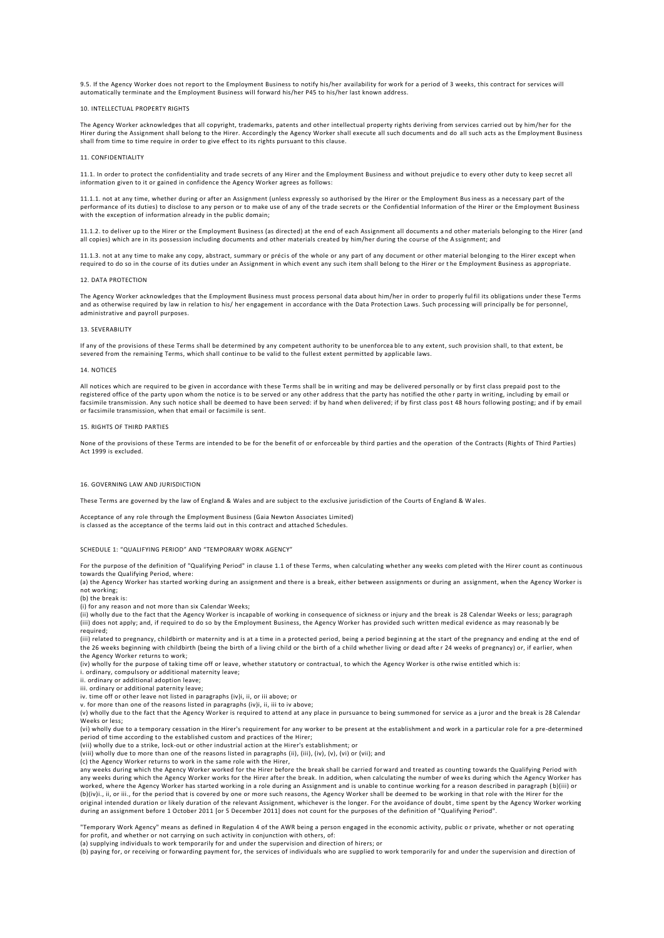9.5. If the Agency Worker does not report to the Employment Business to notify his/her availability for work for a period of 3 weeks, this contract for services will automatically terminate and the Employment Business will forward his/her P45 to his/her last known address.

# 10. INTELLECTUAL PROPERTY RIGHTS

The Agency Worker acknowledges that all copyright, trademarks, patents and other intellectual property rights deriving from services carried out by him/her for the Hirer during the Assignment shall belong to the Hirer. Accordingly the Agency Worker shall execute all such documents and do all such acts as the Employment Business<br>shall from time to time require in order to give effect

### 11. CONFIDENTIALITY

11.1. In order to protect the confidentiality and trade secrets of any Hirer and the Employment Business and without prejudic e to every other duty to keep secret all information given to it or gained in confidence the Agency Worker agrees as follows:

11.1.1. not at any time, whether during or after an Assignment (unless expressly so authorised by the Hirer or the Employment Business as a necessary part of the performance of its duties) to disclose to any person or to make use of any of the trade secrets or the Confidential Information of the Hirer or the Employment Business with the exception of information already in the public domain;

11.1.2. to deliver up to the Hirer or the Employment Business (as directed) at the end of each Assignment all documents a nd other materials belonging to the Hirer (and all copies) which are in its possession including documents and other materials created by him/her during the course of the A ssignment; and

11.1.3. not at any time to make any copy, abstract, summary or précis of the whole or any part of any document or other material belonging to the Hirer except when required to do so in the course of its duties under an Assignment in which event any such item shall belong to the Hirer or the Employment Business as appropriate.

### 12. DATA PROTECTION

The Agency Worker acknowledges that the Employment Business must process personal data about him/her in order to properly ful fil its obligations under these Terms and as otherwise required by law in relation to his/ her engagement in accordance with the Data Protection Laws. Such processing will principally be for personnel, administrative and payroll purposes.

### 13. SEVERABILITY

If any of the provisions of these Terms shall be determined by any competent authority to be unenforcea ble to any extent, such provision shall, to that extent, be severed from the remaining Terms, which shall continue to be valid to the fullest extent permitted by applicable laws.

### 14. NOTICES

All notices which are required to be given in accordance with these Terms shall be in writing and may be delivered personally or by first class prepaid post to the registered office of the party upon whom the notice is to be served or any other address that the party has notified the othe r party in writing, including by email or facsimile transmission. Any such notice shall be deemed to have been served: if by hand when delivered; if by first class post 48 hours following posting; and if by email or facsimile transmission, when that email or facsimile is sent.

#### 15. RIGHTS OF THIRD PARTIES

None of the provisions of these Terms are intended to be for the benefit of or enforceable by third parties and the operation of the Contracts (Rights of Third Parties) Act 1999 is excluded.

# 16. GOVERNING LAW AND JURISDICTION

These Terms are governed by the law of England & Wales and are subject to the exclusive jurisdiction of the Courts of England & W ales.

Acceptance of any role through the Employment Business (Gaia Newton Associates Limited) is classed as the acceptance of the terms laid out in this contract and attached Schedu

# SCHEDULE 1: "QUALIFYING PERIOD" AND "TEMPORARY WORK AGENCY"

For the purpose of the definition of "Qualifying Period" in clause 1.1 of these Terms, when calculating whether any weeks com pleted with the Hirer count as continuous towards the Qualifying Period, where:

(a) the Agency Worker has started working during an assignment and there is a break, either between assignments or during an assignment, when the Agency Worker is not working;

(b) the break is:

(i) for any reason and not more than six Calendar Weeks;

(ii) wholly due to the fact that the Agency Worker is incapable of working in consequence of sickness or injury and the break is 28 Calendar Weeks or less; paragraph (iii) does not apply; and, if required to do so by the Employment Business, the Agency Worker has provided such written medical evidence as may reasonab ly be .<br>required;

(iii) related to pregnancy, childbirth or maternity and is at a time in a protected period, being a period beginning at the start of the pregnancy and ending at the end of<br>the 26 weeks beginning with childbirth (being the the Agency Worker returns to work;

(iv) wholly for the purpose of taking time off or leave, whether statutory or contractual, to which the Agency Worker is othe rwise entitled which is:

i. ordinary, compulsory or additional maternity leave;

ii. ordinary or additional adoption leave;

iii. ordinary or additional paternity leave;

iv. time off or other leave not listed in paragraphs (iv)i, ii, or iii above; or v. for more than one of the reasons listed in paragraphs (iv)i, ii, iii to iv above;

(v) wholly due to the fact that the Agency Worker is required to attend at any place in pursuance to being summoned for service as a juror and the break is 28 Calendar Weeks or less;

(vi) wholly due to a temporary cessation in the Hirer's requirement for any worker to be present at the establishment a nd work in a particular role for a pre-determined period of time according to the established custom and practices of the Hirer;

(vii) wholly due to a strike, lock-out or other industrial action at the Hirer's establishment; or (vii) wholly due to a string, fock out of string interaction extends the string (iii), (iii), (iv), (v), (vi) or (vii); and (viii) and

(c) the Agency Worker returns to work in the same role with the Hirer,<br>any weeks during which the Agency Worker worked for the Hirer before the break shall be carried forward and treated as counting towards the Qualifying any weeks during which the Agency Worker works for the Hirer after the break. In addition, when calculating the number of wee ks during which the Agency Worker has worked, where the Agency Worker has started working in a role during an Assignment and is unable to continue working for a reason described in paragraph ( b)(iii) or (b)(iv)i., ii, or iii., for the period that is covered by one or more such reasons, the Agency Worker shall be deemed to be working in that role with the Hirer for the original intended duration or likely duration of the relevant Assignment, whichever is the longer. For the avoidance of doubt, time spent by the Agency Worker working<br>during an assignment before 1 October 2011 [or 5 Decemb

"Temporary Work Agency" means as defined in Regulation 4 of the AWR being a person engaged in the economic activity, public or private, whether or not operating for profit, and whether or not carrying on such activity in conjunction with others, of:

(a) supplying individuals to work temporarily for and under the supervision and direction of hirers; or

(b) paying for, or receiving or forwarding payment for, the services of individuals who are supplied to work temporarily for and under the supervision and direction of